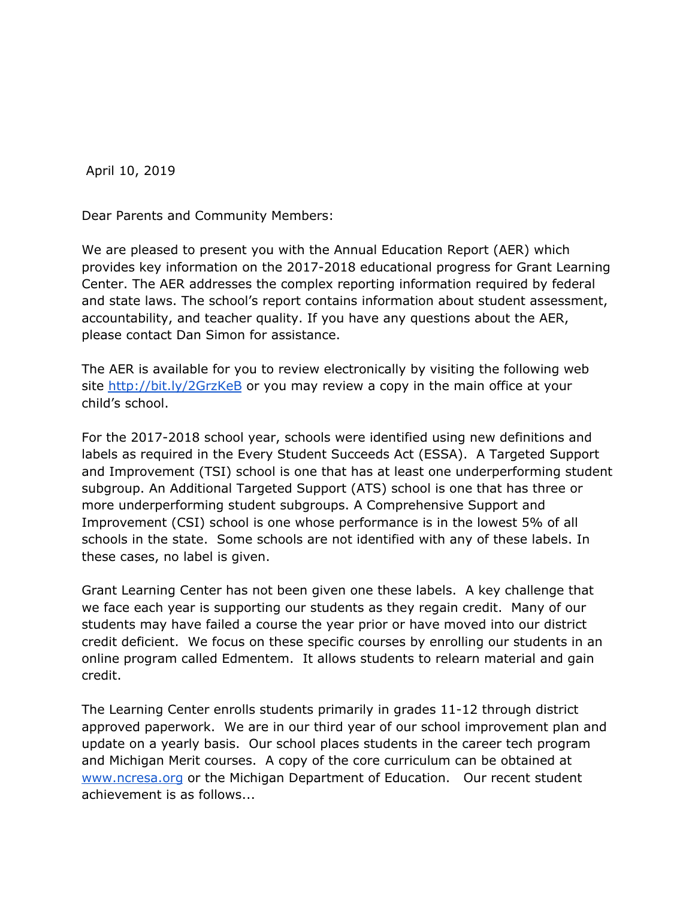April 10, 2019

Dear Parents and Community Members:

We are pleased to present you with the Annual Education Report (AER) which provides key information on the 2017-2018 educational progress for Grant Learning Center. The AER addresses the complex reporting information required by federal and state laws. The school's report contains information about student assessment, accountability, and teacher quality. If you have any questions about the AER, please contact Dan Simon for assistance.

The AER is available for you to review electronically by visiting the following web site <http://bit.ly/2GrzKeB> or you may review a copy in the main office at your child's school.

For the 2017-2018 school year, schools were identified using new definitions and labels as required in the Every Student Succeeds Act (ESSA). A Targeted Support and Improvement (TSI) school is one that has at least one underperforming student subgroup. An Additional Targeted Support (ATS) school is one that has three or more underperforming student subgroups. A Comprehensive Support and Improvement (CSI) school is one whose performance is in the lowest 5% of all schools in the state. Some schools are not identified with any of these labels. In these cases, no label is given.

Grant Learning Center has not been given one these labels. A key challenge that we face each year is supporting our students as they regain credit. Many of our students may have failed a course the year prior or have moved into our district credit deficient. We focus on these specific courses by enrolling our students in an online program called Edmentem. It allows students to relearn material and gain credit.

The Learning Center enrolls students primarily in grades 11-12 through district approved paperwork. We are in our third year of our school improvement plan and update on a yearly basis. Our school places students in the career tech program and Michigan Merit courses. A copy of the core curriculum can be obtained at [www.ncresa.org](http://www.ncresa.org/) or the Michigan Department of Education. Our recent student achievement is as follows...